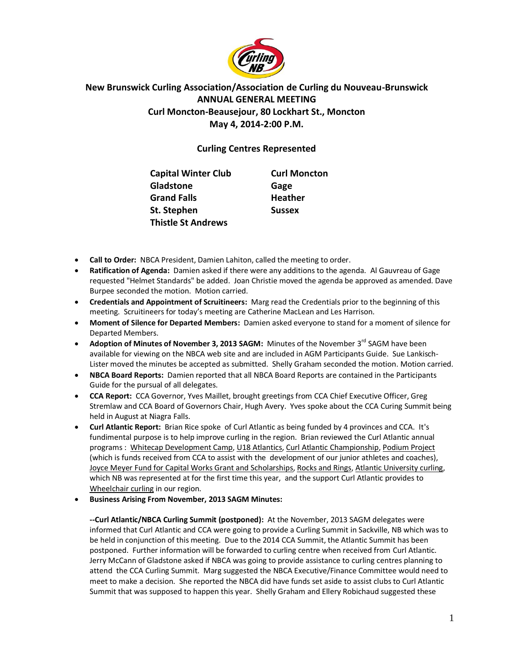

## **New Brunswick Curling Association/Association de Curling du Nouveau-Brunswick ANNUAL GENERAL MEETING Curl Moncton-Beausejour, 80 Lockhart St., Moncton May 4, 2014-2:00 P.M.**

## **Curling Centres Represented**

| <b>Capital Winter Club</b> | <b>Curl Moncton</b> |
|----------------------------|---------------------|
| Gladstone                  | Gage                |
| <b>Grand Falls</b>         | <b>Heather</b>      |
| St. Stephen                | <b>Sussex</b>       |
| <b>Thistle St Andrews</b>  |                     |

- **Call to Order:** NBCA President, Damien Lahiton, called the meeting to order.
- **Ratification of Agenda:** Damien asked if there were any additions to the agenda. Al Gauvreau of Gage requested "Helmet Standards" be added. Joan Christie moved the agenda be approved as amended. Dave Burpee seconded the motion. Motion carried.
- **Credentials and Appointment of Scruitineers:** Marg read the Credentials prior to the beginning of this meeting. Scruitineers for today's meeting are Catherine MacLean and Les Harrison.
- **Moment of Silence for Departed Members:** Damien asked everyone to stand for a moment of silence for Departed Members.
- **Adoption of Minutes of November 3, 2013 SAGM:** Minutes of the November 3<sup>rd</sup> SAGM have been available for viewing on the NBCA web site and are included in AGM Participants Guide. Sue Lankisch-Lister moved the minutes be accepted as submitted. Shelly Graham seconded the motion. Motion carried.
- **NBCA Board Reports:** Damien reported that all NBCA Board Reports are contained in the Participants Guide for the pursual of all delegates.
- **CCA Report:** CCA Governor, Yves Maillet, brought greetings from CCA Chief Executive Officer, Greg Stremlaw and CCA Board of Governors Chair, Hugh Avery. Yves spoke about the CCA Curing Summit being held in August at Niagra Falls.
- **Curl Atlantic Report:** Brian Rice spoke of Curl Atlantic as being funded by 4 provinces and CCA. It's fundimental purpose is to help improve curling in the region. Brian reviewed the Curl Atlantic annual programs : Whitecap Development Camp, U18 Atlantics, Curl Atlantic Championship, Podium Project (which is funds received from CCA to assist with the development of our junior athletes and coaches), Joyce Meyer Fund for Capital Works Grant and Scholarships, Rocks and Rings, Atlantic University curling, which NB was represented at for the first time this year, and the support Curl Atlantic provides to Wheelchair curling in our region.
- **Business Arising From November, 2013 SAGM Minutes:**

**--Curl Atlantic/NBCA Curling Summit (postponed):** At the November, 2013 SAGM delegates were informed that Curl Atlantic and CCA were going to provide a Curling Summit in Sackville, NB which was to be held in conjunction of this meeting. Due to the 2014 CCA Summit, the Atlantic Summit has been postponed. Further information will be forwarded to curling centre when received from Curl Atlantic. Jerry McCann of Gladstone asked if NBCA was going to provide assistance to curling centres planning to attend the CCA Curling Summit. Marg suggested the NBCA Executive/Finance Committee would need to meet to make a decision. She reported the NBCA did have funds set aside to assist clubs to Curl Atlantic Summit that was supposed to happen this year. Shelly Graham and Ellery Robichaud suggested these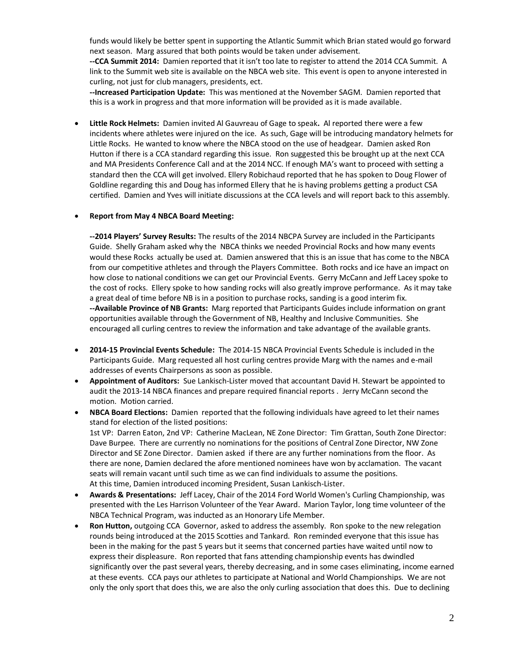funds would likely be better spent in supporting the Atlantic Summit which Brian stated would go forward next season. Marg assured that both points would be taken under advisement.

**--CCA Summit 2014:** Damien reported that it isn't too late to register to attend the 2014 CCA Summit. A link to the Summit web site is available on the NBCA web site. This event is open to anyone interested in curling, not just for club managers, presidents, ect.

**--Increased Participation Update:** This was mentioned at the November SAGM. Damien reported that this is a work in progress and that more information will be provided as it is made available.

 **Little Rock Helmets:** Damien invited Al Gauvreau of Gage to speak**.** Al reported there were a few incidents where athletes were injured on the ice. As such, Gage will be introducing mandatory helmets for Little Rocks. He wanted to know where the NBCA stood on the use of headgear. Damien asked Ron Hutton if there is a CCA standard regarding this issue. Ron suggested this be brought up at the next CCA and MA Presidents Conference Call and at the 2014 NCC. If enough MA's want to proceed with setting a standard then the CCA will get involved. Ellery Robichaud reported that he has spoken to Doug Flower of Goldline regarding this and Doug has informed Ellery that he is having problems getting a product CSA certified. Damien and Yves will initiate discussions at the CCA levels and will report back to this assembly.

## **Report from May 4 NBCA Board Meeting:**

**--2014 Players' Survey Results:** The results of the 2014 NBCPA Survey are included in the Participants Guide. Shelly Graham asked why the NBCA thinks we needed Provincial Rocks and how many events would these Rocks actually be used at. Damien answered that this is an issue that has come to the NBCA from our competitive athletes and through the Players Committee. Both rocks and ice have an impact on how close to national conditions we can get our Provincial Events. Gerry McCann and Jeff Lacey spoke to the cost of rocks. Ellery spoke to how sanding rocks will also greatly improve performance. As it may take a great deal of time before NB is in a position to purchase rocks, sanding is a good interim fix. **--Available Province of NB Grants:** Marg reported that Participants Guides include information on grant opportunities available through the Government of NB, Healthy and Inclusive Communities. She encouraged all curling centres to review the information and take advantage of the available grants.

- **2014-15 Provincial Events Schedule:** The 2014-15 NBCA Provincial Events Schedule is included in the Participants Guide. Marg requested all host curling centres provide Marg with the names and e-mail addresses of events Chairpersons as soon as possible.
- **Appointment of Auditors:** Sue Lankisch-Lister moved that accountant David H. Stewart be appointed to audit the 2013-14 NBCA finances and prepare required financial reports . Jerry McCann second the motion. Motion carried.
- **NBCA Board Elections:** Damien reported that the following individuals have agreed to let their names stand for election of the listed positions: 1st VP: Darren Eaton, 2nd VP: Catherine MacLean, NE Zone Director: Tim Grattan, South Zone Director: Dave Burpee. There are currently no nominations for the positions of Central Zone Director, NW Zone Director and SE Zone Director. Damien asked if there are any further nominations from the floor. As there are none, Damien declared the afore mentioned nominees have won by acclamation. The vacant seats will remain vacant until such time as we can find individuals to assume the positions. At this time, Damien introduced incoming President, Susan Lankisch-Lister.
- **Awards & Presentations:** Jeff Lacey, Chair of the 2014 Ford World Women's Curling Championship, was presented with the Les Harrison Volunteer of the Year Award. Marion Taylor, long time volunteer of the NBCA Technical Program, was inducted as an Honorary Life Member.
- **Ron Hutton,** outgoing CCA Governor, asked to address the assembly. Ron spoke to the new relegation rounds being introduced at the 2015 Scotties and Tankard. Ron reminded everyone that this issue has been in the making for the past 5 years but it seems that concerned parties have waited until now to express their displeasure. Ron reported that fans attending championship events has dwindled significantly over the past several years, thereby decreasing, and in some cases eliminating, income earned at these events. CCA pays our athletes to participate at National and World Championships. We are not only the only sport that does this, we are also the only curling association that does this. Due to declining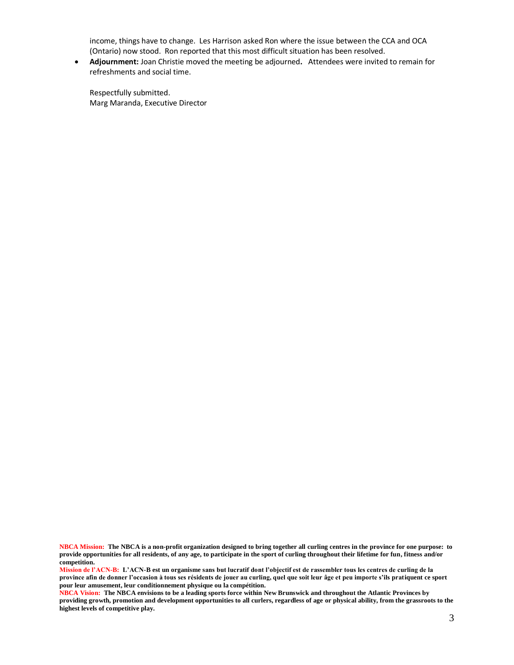income, things have to change. Les Harrison asked Ron where the issue between the CCA and OCA (Ontario) now stood. Ron reported that this most difficult situation has been resolved.

 **Adjournment:** Joan Christie moved the meeting be adjourned**.** Attendees were invited to remain for refreshments and social time.

Respectfully submitted. Marg Maranda, Executive Director

**NBCA Mission: The NBCA is a non-profit organization designed to bring together all curling centres in the province for one purpose: to provide opportunities for all residents, of any age, to participate in the sport of curling throughout their lifetime for fun, fitness and/or competition.**

**Mission de l'ACN-B: L'ACN-B est un organisme sans but lucratif dont l'objectif est de rassembler tous les centres de curling de la province afin de donner l'occasion à tous ses résidents de jouer au curling, quel que soit leur âge et peu importe s'ils pratiquent ce sport pour leur amusement, leur conditionnement physique ou la compétition.**

**NBCA Vision: The NBCA envisions to be a leading sports force within New Brunswick and throughout the Atlantic Provinces by providing growth, promotion and development opportunities to all curlers, regardless of age or physical ability, from the grassroots to the highest levels of competitive play.**